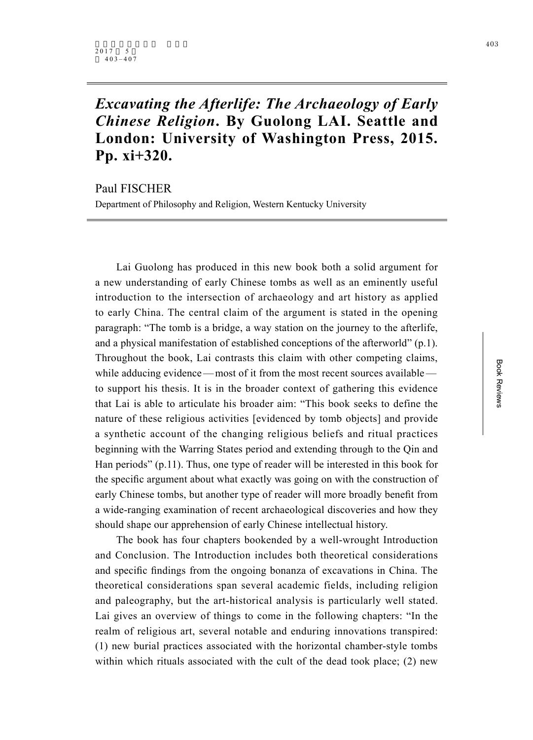## *Excavating the Afterlife: The Archaeology of Early Chinese Religion***. By Guolong LAI. Seattle and London: University of Washington Press, 2015. Pp. xi+320.**

Paul FISCHER

Department of Philosophy and Religion, Western Kentucky University

Lai Guolong has produced in this new book both a solid argument for a new understanding of early Chinese tombs as well as an eminently useful introduction to the intersection of archaeology and art history as applied to early China. The central claim of the argument is stated in the opening paragraph: "The tomb is a bridge, a way station on the journey to the afterlife, and a physical manifestation of established conceptions of the afterworld" (p.1). Throughout the book, Lai contrasts this claim with other competing claims, while adducing evidence—most of it from the most recent sources available to support his thesis. It is in the broader context of gathering this evidence that Lai is able to articulate his broader aim: "This book seeks to define the nature of these religious activities [evidenced by tomb objects] and provide a synthetic account of the changing religious beliefs and ritual practices beginning with the Warring States period and extending through to the Qin and Han periods" (p.11). Thus, one type of reader will be interested in this book for the specific argument about what exactly was going on with the construction of early Chinese tombs, but another type of reader will more broadly benefit from a wide-ranging examination of recent archaeological discoveries and how they should shape our apprehension of early Chinese intellectual history.

The book has four chapters bookended by a well-wrought Introduction and Conclusion. The Introduction includes both theoretical considerations and specific findings from the ongoing bonanza of excavations in China. The theoretical considerations span several academic fields, including religion and paleography, but the art-historical analysis is particularly well stated. Lai gives an overview of things to come in the following chapters: "In the realm of religious art, several notable and enduring innovations transpired: (1) new burial practices associated with the horizontal chamber-style tombs within which rituals associated with the cult of the dead took place; (2) new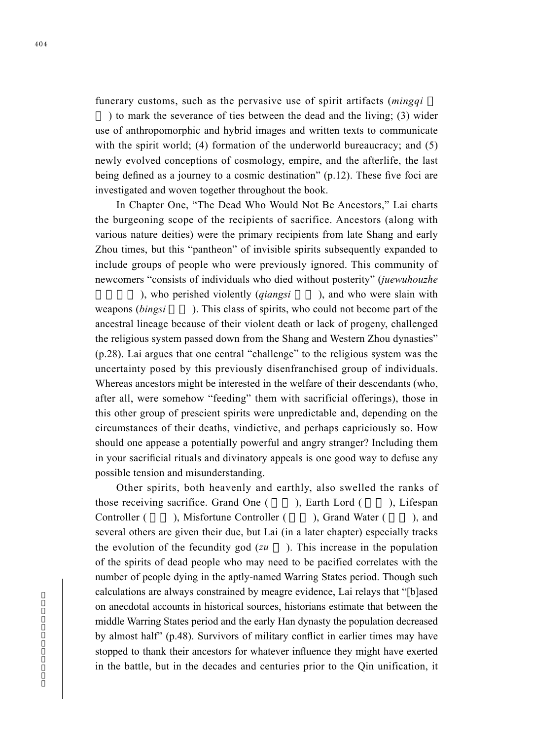funerary customs, such as the pervasive use of spirit artifacts (*mingqi*

) to mark the severance of ties between the dead and the living; (3) wider use of anthropomorphic and hybrid images and written texts to communicate with the spirit world; (4) formation of the underworld bureaucracy; and (5) newly evolved conceptions of cosmology, empire, and the afterlife, the last being defined as a journey to a cosmic destination" (p.12). These five foci are investigated and woven together throughout the book.

In Chapter One, "The Dead Who Would Not Be Ancestors," Lai charts the burgeoning scope of the recipients of sacrifice. Ancestors (along with various nature deities) were the primary recipients from late Shang and early Zhou times, but this "pantheon" of invisible spirits subsequently expanded to include groups of people who were previously ignored. This community of newcomers "consists of individuals who died without posterity" (*juewuhouzhe*

), who perished violently (*giangsi* ), and who were slain with weapons (*bingsi* ). This class of spirits, who could not become part of the ancestral lineage because of their violent death or lack of progeny, challenged the religious system passed down from the Shang and Western Zhou dynasties" (p.28). Lai argues that one central "challenge" to the religious system was the uncertainty posed by this previously disenfranchised group of individuals. Whereas ancestors might be interested in the welfare of their descendants (who, after all, were somehow "feeding" them with sacrificial offerings), those in this other group of prescient spirits were unpredictable and, depending on the circumstances of their deaths, vindictive, and perhaps capriciously so. How should one appease a potentially powerful and angry stranger? Including them in your sacrificial rituals and divinatory appeals is one good way to defuse any possible tension and misunderstanding.

Other spirits, both heavenly and earthly, also swelled the ranks of those receiving sacrifice. Grand One  $($ , Earth Lord  $($ , Lifespan Controller ( a), Misfortune Controller ( a), Grand Water ( a), and several others are given their due, but Lai (in a later chapter) especially tracks the evolution of the fecundity god (*zu* ). This increase in the population of the spirits of dead people who may need to be pacified correlates with the number of people dying in the aptly-named Warring States period. Though such calculations are always constrained by meagre evidence, Lai relays that "[b]ased on anecdotal accounts in historical sources, historians estimate that between the middle Warring States period and the early Han dynasty the population decreased by almost half" (p.48). Survivors of military conflict in earlier times may have stopped to thank their ancestors for whatever influence they might have exerted in the battle, but in the decades and centuries prior to the Qin unification, it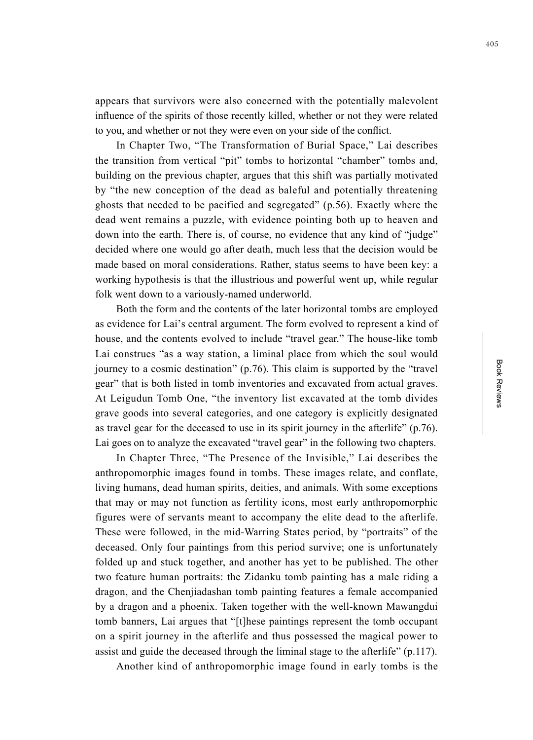appears that survivors were also concerned with the potentially malevolent influence of the spirits of those recently killed, whether or not they were related to you, and whether or not they were even on your side of the conflict.

In Chapter Two, "The Transformation of Burial Space," Lai describes the transition from vertical "pit" tombs to horizontal "chamber" tombs and, building on the previous chapter, argues that this shift was partially motivated by "the new conception of the dead as baleful and potentially threatening ghosts that needed to be pacified and segregated" (p.56). Exactly where the dead went remains a puzzle, with evidence pointing both up to heaven and down into the earth. There is, of course, no evidence that any kind of "judge" decided where one would go after death, much less that the decision would be made based on moral considerations. Rather, status seems to have been key: a working hypothesis is that the illustrious and powerful went up, while regular folk went down to a variously-named underworld.

Both the form and the contents of the later horizontal tombs are employed as evidence for Lai's central argument. The form evolved to represent a kind of house, and the contents evolved to include "travel gear." The house-like tomb Lai construes "as a way station, a liminal place from which the soul would journey to a cosmic destination" (p.76). This claim is supported by the "travel gear" that is both listed in tomb inventories and excavated from actual graves. At Leigudun Tomb One, "the inventory list excavated at the tomb divides grave goods into several categories, and one category is explicitly designated as travel gear for the deceased to use in its spirit journey in the afterlife" (p.76). Lai goes on to analyze the excavated "travel gear" in the following two chapters.

In Chapter Three, "The Presence of the Invisible," Lai describes the anthropomorphic images found in tombs. These images relate, and conflate, living humans, dead human spirits, deities, and animals. With some exceptions that may or may not function as fertility icons, most early anthropomorphic figures were of servants meant to accompany the elite dead to the afterlife. These were followed, in the mid-Warring States period, by "portraits" of the deceased. Only four paintings from this period survive; one is unfortunately folded up and stuck together, and another has yet to be published. The other two feature human portraits: the Zidanku tomb painting has a male riding a dragon, and the Chenjiadashan tomb painting features a female accompanied by a dragon and a phoenix. Taken together with the well-known Mawangdui tomb banners, Lai argues that "[t]hese paintings represent the tomb occupant on a spirit journey in the afterlife and thus possessed the magical power to assist and guide the deceased through the liminal stage to the afterlife" (p.117).

Another kind of anthropomorphic image found in early tombs is the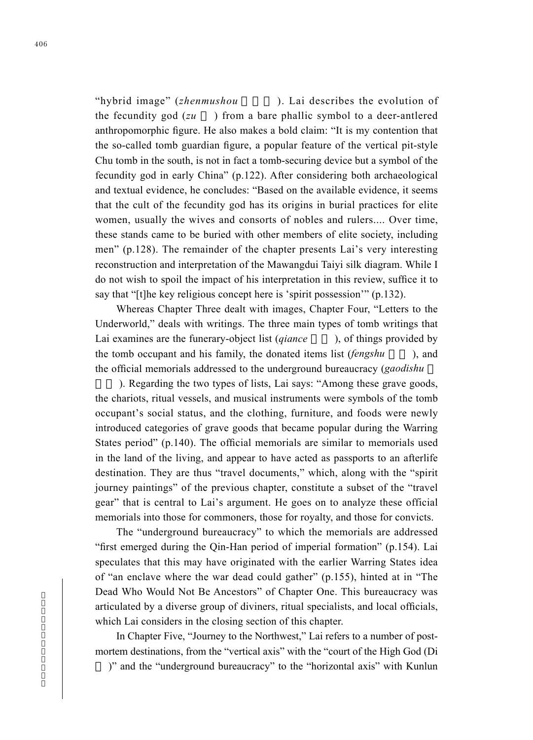"hybrid image" (*zhenmushou* ). Lai describes the evolution of the fecundity god (*zu* ) from a bare phallic symbol to a deer-antlered anthropomorphic figure. He also makes a bold claim: "It is my contention that the so-called tomb guardian figure, a popular feature of the vertical pit-style Chu tomb in the south, is not in fact a tomb-securing device but a symbol of the fecundity god in early China" (p.122). After considering both archaeological and textual evidence, he concludes: "Based on the available evidence, it seems that the cult of the fecundity god has its origins in burial practices for elite women, usually the wives and consorts of nobles and rulers.... Over time, these stands came to be buried with other members of elite society, including men" (p.128). The remainder of the chapter presents Lai's very interesting reconstruction and interpretation of the Mawangdui Taiyi silk diagram. While I do not wish to spoil the impact of his interpretation in this review, suffice it to say that "[t]he key religious concept here is 'spirit possession'" (p.132).

Whereas Chapter Three dealt with images, Chapter Four, "Letters to the Underworld," deals with writings. The three main types of tomb writings that Lai examines are the funerary-object list *(giance* ), of things provided by the tomb occupant and his family, the donated items list (*fengshu*), and the official memorials addressed to the underground bureaucracy (*gaodishu* 

). Regarding the two types of lists, Lai says: "Among these grave goods, the chariots, ritual vessels, and musical instruments were symbols of the tomb occupant's social status, and the clothing, furniture, and foods were newly introduced categories of grave goods that became popular during the Warring States period" (p.140). The official memorials are similar to memorials used in the land of the living, and appear to have acted as passports to an afterlife destination. They are thus "travel documents," which, along with the "spirit journey paintings" of the previous chapter, constitute a subset of the "travel gear" that is central to Lai's argument. He goes on to analyze these official memorials into those for commoners, those for royalty, and those for convicts.

The "underground bureaucracy" to which the memorials are addressed "first emerged during the Qin-Han period of imperial formation" (p.154). Lai speculates that this may have originated with the earlier Warring States idea of "an enclave where the war dead could gather" (p.155), hinted at in "The Dead Who Would Not Be Ancestors" of Chapter One. This bureaucracy was articulated by a diverse group of diviners, ritual specialists, and local officials, which Lai considers in the closing section of this chapter.

In Chapter Five, "Journey to the Northwest," Lai refers to a number of postmortem destinations, from the "vertical axis" with the "court of the High God (Di

)" and the "underground bureaucracy" to the "horizontal axis" with Kunlun